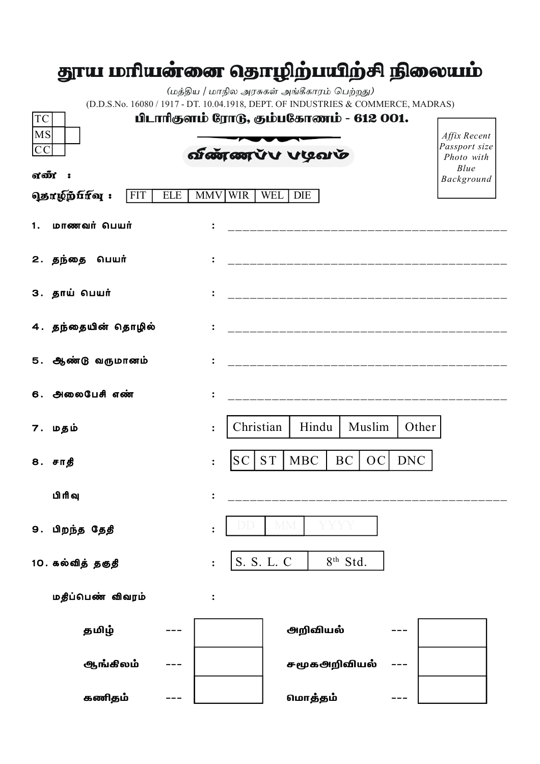## தூய மரியன்னை தொழிற்பயிற்சி நிலையம்

(மத்திய / மாநில அரசுகள் அங்கீகாரம் பெற்றது) (D.D.S.No. 16080 / 1917 - DT. 10.04.1918, DEPT. OF INDUSTRIES & COMMERCE, MADRAS)

| பிடாரிதளம் ரோடு, தம்பகோணம் - 612 001.<br>TC                             |                                                                  |                                                     |  |  |  |  |
|-------------------------------------------------------------------------|------------------------------------------------------------------|-----------------------------------------------------|--|--|--|--|
| MS<br> CC                                                               | வுண்ண்டு கர்ச்சி                                                 | Affix Recent<br>Passport size<br>Photo with<br>Blue |  |  |  |  |
| எண்:                                                                    |                                                                  | Background                                          |  |  |  |  |
| <b>வுதாழிந்</b> பானு:<br><b>FIT</b><br>MMV WIR<br>WEL DIE<br><b>ELE</b> |                                                                  |                                                     |  |  |  |  |
| மாணவர் பெயர்<br>1.                                                      | ____________________________                                     |                                                     |  |  |  |  |
| 2. தந்தை பெயர்                                                          | __________________________________                               |                                                     |  |  |  |  |
| 3. தாய் பெயர்                                                           |                                                                  |                                                     |  |  |  |  |
| 4. தந்தையின் தொழில்                                                     | _____________________________________                            |                                                     |  |  |  |  |
| 5. ஆண்டு வருமானம்                                                       | ____________________________________                             |                                                     |  |  |  |  |
| 6. அலைபேசி எண்                                                          |                                                                  |                                                     |  |  |  |  |
| 7. மதம்                                                                 | Christian<br>Hindu<br>Muslim                                     | Other                                               |  |  |  |  |
| 8. சாதீ                                                                 | <b>ST</b><br><b>MBC</b><br><b>BC</b><br><b>DNC</b><br> OC <br>SC |                                                     |  |  |  |  |
| பிரிவு                                                                  |                                                                  |                                                     |  |  |  |  |
| 9. பிறந்த தேதி                                                          |                                                                  |                                                     |  |  |  |  |
| 10. கல்வித் தகுதி                                                       | S. S. L. C<br>8 <sup>th</sup> Std.                               |                                                     |  |  |  |  |
| மதீப்பெண் விவரம்                                                        | $\ddot{\cdot}$                                                   |                                                     |  |  |  |  |
| தமிழ்                                                                   | அறிவியல்                                                         |                                                     |  |  |  |  |
| ஆங்கிலம்                                                                | சமூகஅறிவியல்                                                     |                                                     |  |  |  |  |
| கணிதம்                                                                  | மொத்தம்                                                          |                                                     |  |  |  |  |